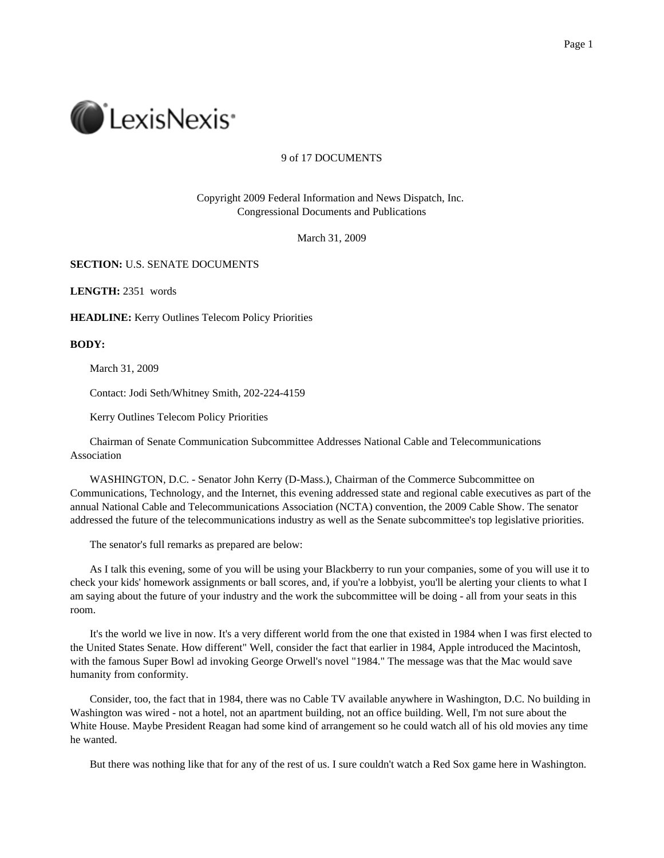

## 9 of 17 DOCUMENTS

Copyright 2009 Federal Information and News Dispatch, Inc. Congressional Documents and Publications

March 31, 2009

## **SECTION:** U.S. SENATE DOCUMENTS

**LENGTH:** 2351 words

**HEADLINE:** Kerry Outlines Telecom Policy Priorities

**BODY:**

March 31, 2009

Contact: Jodi Seth/Whitney Smith, 202-224-4159

Kerry Outlines Telecom Policy Priorities

Chairman of Senate Communication Subcommittee Addresses National Cable and Telecommunications Association

WASHINGTON, D.C. - Senator John Kerry (D-Mass.), Chairman of the Commerce Subcommittee on Communications, Technology, and the Internet, this evening addressed state and regional cable executives as part of the annual National Cable and Telecommunications Association (NCTA) convention, the 2009 Cable Show. The senator addressed the future of the telecommunications industry as well as the Senate subcommittee's top legislative priorities.

The senator's full remarks as prepared are below:

As I talk this evening, some of you will be using your Blackberry to run your companies, some of you will use it to check your kids' homework assignments or ball scores, and, if you're a lobbyist, you'll be alerting your clients to what I am saying about the future of your industry and the work the subcommittee will be doing - all from your seats in this room.

It's the world we live in now. It's a very different world from the one that existed in 1984 when I was first elected to the United States Senate. How different" Well, consider the fact that earlier in 1984, Apple introduced the Macintosh, with the famous Super Bowl ad invoking George Orwell's novel "1984." The message was that the Mac would save humanity from conformity.

Consider, too, the fact that in 1984, there was no Cable TV available anywhere in Washington, D.C. No building in Washington was wired - not a hotel, not an apartment building, not an office building. Well, I'm not sure about the White House. Maybe President Reagan had some kind of arrangement so he could watch all of his old movies any time he wanted.

But there was nothing like that for any of the rest of us. I sure couldn't watch a Red Sox game here in Washington.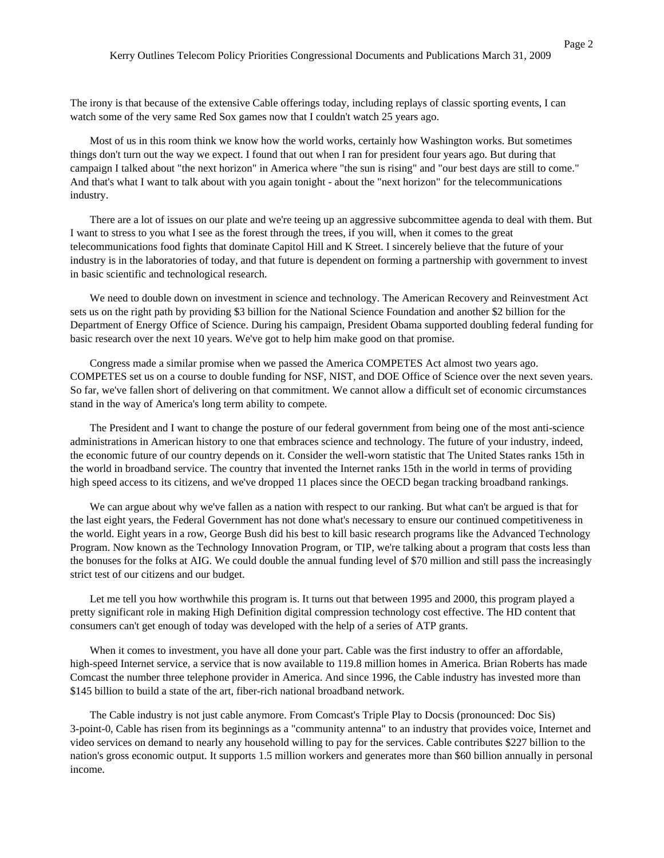The irony is that because of the extensive Cable offerings today, including replays of classic sporting events, I can watch some of the very same Red Sox games now that I couldn't watch 25 years ago.

Most of us in this room think we know how the world works, certainly how Washington works. But sometimes things don't turn out the way we expect. I found that out when I ran for president four years ago. But during that campaign I talked about "the next horizon" in America where "the sun is rising" and "our best days are still to come." And that's what I want to talk about with you again tonight - about the "next horizon" for the telecommunications industry.

There are a lot of issues on our plate and we're teeing up an aggressive subcommittee agenda to deal with them. But I want to stress to you what I see as the forest through the trees, if you will, when it comes to the great telecommunications food fights that dominate Capitol Hill and K Street. I sincerely believe that the future of your industry is in the laboratories of today, and that future is dependent on forming a partnership with government to invest in basic scientific and technological research.

We need to double down on investment in science and technology. The American Recovery and Reinvestment Act sets us on the right path by providing \$3 billion for the National Science Foundation and another \$2 billion for the Department of Energy Office of Science. During his campaign, President Obama supported doubling federal funding for basic research over the next 10 years. We've got to help him make good on that promise.

Congress made a similar promise when we passed the America COMPETES Act almost two years ago. COMPETES set us on a course to double funding for NSF, NIST, and DOE Office of Science over the next seven years. So far, we've fallen short of delivering on that commitment. We cannot allow a difficult set of economic circumstances stand in the way of America's long term ability to compete.

The President and I want to change the posture of our federal government from being one of the most anti-science administrations in American history to one that embraces science and technology. The future of your industry, indeed, the economic future of our country depends on it. Consider the well-worn statistic that The United States ranks 15th in the world in broadband service. The country that invented the Internet ranks 15th in the world in terms of providing high speed access to its citizens, and we've dropped 11 places since the OECD began tracking broadband rankings.

We can argue about why we've fallen as a nation with respect to our ranking. But what can't be argued is that for the last eight years, the Federal Government has not done what's necessary to ensure our continued competitiveness in the world. Eight years in a row, George Bush did his best to kill basic research programs like the Advanced Technology Program. Now known as the Technology Innovation Program, or TIP, we're talking about a program that costs less than the bonuses for the folks at AIG. We could double the annual funding level of \$70 million and still pass the increasingly strict test of our citizens and our budget.

Let me tell you how worthwhile this program is. It turns out that between 1995 and 2000, this program played a pretty significant role in making High Definition digital compression technology cost effective. The HD content that consumers can't get enough of today was developed with the help of a series of ATP grants.

When it comes to investment, you have all done your part. Cable was the first industry to offer an affordable, high-speed Internet service, a service that is now available to 119.8 million homes in America. Brian Roberts has made Comcast the number three telephone provider in America. And since 1996, the Cable industry has invested more than \$145 billion to build a state of the art, fiber-rich national broadband network.

The Cable industry is not just cable anymore. From Comcast's Triple Play to Docsis (pronounced: Doc Sis) 3-point-0, Cable has risen from its beginnings as a "community antenna" to an industry that provides voice, Internet and video services on demand to nearly any household willing to pay for the services. Cable contributes \$227 billion to the nation's gross economic output. It supports 1.5 million workers and generates more than \$60 billion annually in personal income.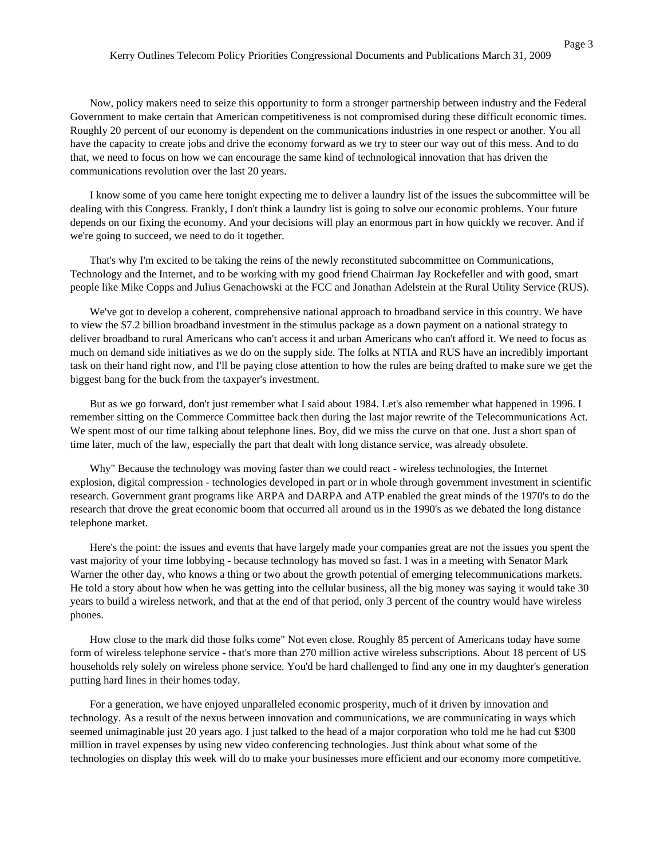Now, policy makers need to seize this opportunity to form a stronger partnership between industry and the Federal Government to make certain that American competitiveness is not compromised during these difficult economic times. Roughly 20 percent of our economy is dependent on the communications industries in one respect or another. You all have the capacity to create jobs and drive the economy forward as we try to steer our way out of this mess. And to do that, we need to focus on how we can encourage the same kind of technological innovation that has driven the communications revolution over the last 20 years.

I know some of you came here tonight expecting me to deliver a laundry list of the issues the subcommittee will be dealing with this Congress. Frankly, I don't think a laundry list is going to solve our economic problems. Your future depends on our fixing the economy. And your decisions will play an enormous part in how quickly we recover. And if we're going to succeed, we need to do it together.

That's why I'm excited to be taking the reins of the newly reconstituted subcommittee on Communications, Technology and the Internet, and to be working with my good friend Chairman Jay Rockefeller and with good, smart people like Mike Copps and Julius Genachowski at the FCC and Jonathan Adelstein at the Rural Utility Service (RUS).

We've got to develop a coherent, comprehensive national approach to broadband service in this country. We have to view the \$7.2 billion broadband investment in the stimulus package as a down payment on a national strategy to deliver broadband to rural Americans who can't access it and urban Americans who can't afford it. We need to focus as much on demand side initiatives as we do on the supply side. The folks at NTIA and RUS have an incredibly important task on their hand right now, and I'll be paying close attention to how the rules are being drafted to make sure we get the biggest bang for the buck from the taxpayer's investment.

But as we go forward, don't just remember what I said about 1984. Let's also remember what happened in 1996. I remember sitting on the Commerce Committee back then during the last major rewrite of the Telecommunications Act. We spent most of our time talking about telephone lines. Boy, did we miss the curve on that one. Just a short span of time later, much of the law, especially the part that dealt with long distance service, was already obsolete.

Why" Because the technology was moving faster than we could react - wireless technologies, the Internet explosion, digital compression - technologies developed in part or in whole through government investment in scientific research. Government grant programs like ARPA and DARPA and ATP enabled the great minds of the 1970's to do the research that drove the great economic boom that occurred all around us in the 1990's as we debated the long distance telephone market.

Here's the point: the issues and events that have largely made your companies great are not the issues you spent the vast majority of your time lobbying - because technology has moved so fast. I was in a meeting with Senator Mark Warner the other day, who knows a thing or two about the growth potential of emerging telecommunications markets. He told a story about how when he was getting into the cellular business, all the big money was saying it would take 30 years to build a wireless network, and that at the end of that period, only 3 percent of the country would have wireless phones.

How close to the mark did those folks come" Not even close. Roughly 85 percent of Americans today have some form of wireless telephone service - that's more than 270 million active wireless subscriptions. About 18 percent of US households rely solely on wireless phone service. You'd be hard challenged to find any one in my daughter's generation putting hard lines in their homes today.

For a generation, we have enjoyed unparalleled economic prosperity, much of it driven by innovation and technology. As a result of the nexus between innovation and communications, we are communicating in ways which seemed unimaginable just 20 years ago. I just talked to the head of a major corporation who told me he had cut \$300 million in travel expenses by using new video conferencing technologies. Just think about what some of the technologies on display this week will do to make your businesses more efficient and our economy more competitive.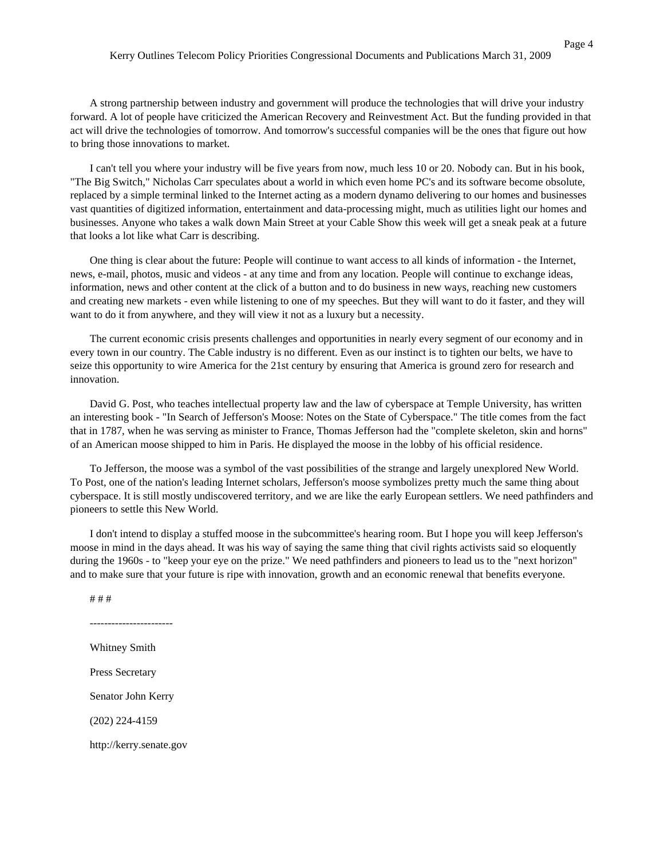A strong partnership between industry and government will produce the technologies that will drive your industry forward. A lot of people have criticized the American Recovery and Reinvestment Act. But the funding provided in that act will drive the technologies of tomorrow. And tomorrow's successful companies will be the ones that figure out how to bring those innovations to market.

I can't tell you where your industry will be five years from now, much less 10 or 20. Nobody can. But in his book, "The Big Switch," Nicholas Carr speculates about a world in which even home PC's and its software become obsolute, replaced by a simple terminal linked to the Internet acting as a modern dynamo delivering to our homes and businesses vast quantities of digitized information, entertainment and data-processing might, much as utilities light our homes and businesses. Anyone who takes a walk down Main Street at your Cable Show this week will get a sneak peak at a future that looks a lot like what Carr is describing.

One thing is clear about the future: People will continue to want access to all kinds of information - the Internet, news, e-mail, photos, music and videos - at any time and from any location. People will continue to exchange ideas, information, news and other content at the click of a button and to do business in new ways, reaching new customers and creating new markets - even while listening to one of my speeches. But they will want to do it faster, and they will want to do it from anywhere, and they will view it not as a luxury but a necessity.

The current economic crisis presents challenges and opportunities in nearly every segment of our economy and in every town in our country. The Cable industry is no different. Even as our instinct is to tighten our belts, we have to seize this opportunity to wire America for the 21st century by ensuring that America is ground zero for research and innovation.

David G. Post, who teaches intellectual property law and the law of cyberspace at Temple University, has written an interesting book - "In Search of Jefferson's Moose: Notes on the State of Cyberspace." The title comes from the fact that in 1787, when he was serving as minister to France, Thomas Jefferson had the "complete skeleton, skin and horns" of an American moose shipped to him in Paris. He displayed the moose in the lobby of his official residence.

To Jefferson, the moose was a symbol of the vast possibilities of the strange and largely unexplored New World. To Post, one of the nation's leading Internet scholars, Jefferson's moose symbolizes pretty much the same thing about cyberspace. It is still mostly undiscovered territory, and we are like the early European settlers. We need pathfinders and pioneers to settle this New World.

I don't intend to display a stuffed moose in the subcommittee's hearing room. But I hope you will keep Jefferson's moose in mind in the days ahead. It was his way of saying the same thing that civil rights activists said so eloquently during the 1960s - to "keep your eye on the prize." We need pathfinders and pioneers to lead us to the "next horizon" and to make sure that your future is ripe with innovation, growth and an economic renewal that benefits everyone.

# # #

Whitney Smith Press Secretary Senator John Kerry (202) 224-4159

-----------------------

http://kerry.senate.gov